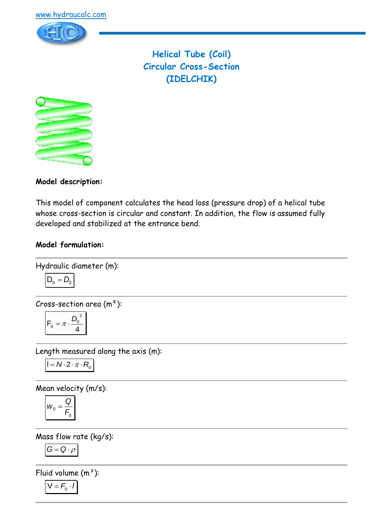

**Helical Tube (Coil) Circular Cross-Section (IDELCHIK)**



**Model description:**

This model of component calculates the head loss (pressure drop) of a helical tube whose cross-section is circular and constant. In addition, the flow is assumed fully developed and stabilized at the entrance bend.

### **Model formulation:**

Hydraulic diameter (m):  

$$
D_h = D_0
$$

Cross-section area (m²):

$$
F_0 = \pi \cdot \frac{{D_0}^2}{4}
$$

Length measured along the axis (m):

$$
I = N \cdot 2 \cdot \pi \cdot R_0
$$

Mean velocity (m/s):

$$
w_0 = \frac{Q}{F_0}
$$

Mass flow rate (kg/s):

$$
G=Q\cdot \rho
$$

Fluid volume  $(m^3)$ :

$$
V = F_0 \cdot I
$$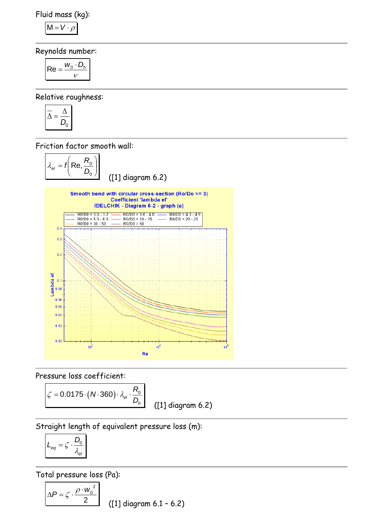Fluid mass (kg):

$$
M = V \cdot \rho
$$

Reynolds number:

$$
\mathsf{Re} = \frac{w_0 \cdot D_h}{v}
$$

Relative roughness:

$$
\overline{\Delta} = \frac{\Delta}{D_0}
$$

Friction factor smooth wall:



Pressure loss coefficient:

$$
\zeta = 0.0175 \cdot (N.360) \cdot \lambda_{el} \cdot \frac{R_0}{D_h}
$$
 (11) diagram 6.2)

Straight length of equivalent pressure loss (m):

$$
L_{\text{eq}} = \zeta \cdot \frac{D_0}{\lambda_{\text{el}}}
$$

Total pressure loss (Pa):

$$
\Delta P = \zeta \cdot \frac{\rho \cdot w_0^2}{2}
$$
 (11) diagram 6.1 - 6.2)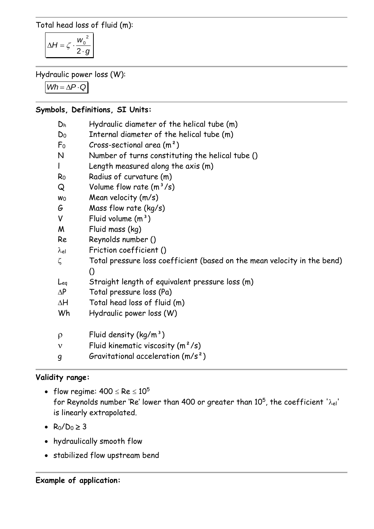Total head loss of fluid (m):

$$
\Delta H = \zeta \cdot \frac{w_0^2}{2 \cdot g}
$$

Hydraulic power loss (W):

 $Wh = \Delta P \cdot Q$ 

### **Symbols, Definitions, SI Units:**

| Dh             | Hydraulic diameter of the helical tube (m)                                                   |
|----------------|----------------------------------------------------------------------------------------------|
| D <sub>0</sub> | Internal diameter of the helical tube (m)                                                    |
| F <sub>o</sub> | Cross-sectional area $(m2)$                                                                  |
| $\mathsf{N}$   | Number of turns constituting the helical tube ()                                             |
| $\mathsf{I}$   | Length measured along the axis (m)                                                           |
| R <sub>0</sub> | Radius of curvature (m)                                                                      |
| Q              | Volume flow rate $(m^3/s)$                                                                   |
| Wo             | Mean velocity (m/s)                                                                          |
| G              | Mass flow rate (kg/s)                                                                        |
| V              | Fluid volume $(m^3)$                                                                         |
| M              | Fluid mass (kg)                                                                              |
| Re             | Reynolds number ()                                                                           |
| $\lambda$ el   | Friction coefficient ()                                                                      |
| $\zeta$        | Total pressure loss coefficient (based on the mean velocity in the bend)<br>$\left( \right)$ |
| Leg            | Straight length of equivalent pressure loss (m)                                              |
| $\Delta P$     | Total pressure loss (Pa)                                                                     |
| $\Delta H$     | Total head loss of fluid (m)                                                                 |
| Wh             | Hydraulic power loss (W)                                                                     |
| $\rho$         | Fluid density $(kg/m^3)$                                                                     |
| ν              | Fluid kinematic viscosity $(m^2/s)$                                                          |
| 9              | Gravitational acceleration $(m/s^2)$                                                         |

# **Validity range:**

- flow regime:  $400 \leq Re \leq 10^5$ for Reynolds number 'Re' lower than 400 or greater than  $10^5$ , the coefficient ' $\lambda_{\rm el}$ ' is linearly extrapolated.
- $R_0/D_0 \ge 3$
- hydraulically smooth flow
- stabilized flow upstream bend

# **Example of application:**